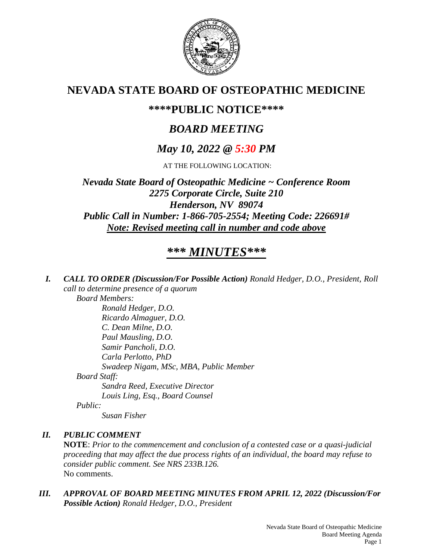

# **NEVADA STATE BOARD OF OSTEOPATHIC MEDICINE**

# **\*\*\*\*PUBLIC NOTICE\*\*\*\***

# *BOARD MEETING*

# *May 10, 2022 @ 5:30 PM*

AT THE FOLLOWING LOCATION:

*Nevada State Board of Osteopathic Medicine ~ Conference Room 2275 Corporate Circle, Suite 210 Henderson, NV 89074 Public Call in Number: 1-866-705-2554; Meeting Code: 226691# Note: Revised meeting call in number and code above*

# *\*\*\* MINUTES\*\*\**

*I. CALL TO ORDER (Discussion/For Possible Action) Ronald Hedger, D.O., President, Roll call to determine presence of a quorum*

*Board Members:*

*Ronald Hedger, D.O. Ricardo Almaguer, D.O. C. Dean Milne, D.O. Paul Mausling, D.O. Samir Pancholi, D.O. Carla Perlotto, PhD Swadeep Nigam, MSc, MBA, Public Member Board Staff: Sandra Reed, Executive Director Louis Ling, Esq., Board Counsel Public: Susan Fisher*

# *II. PUBLIC COMMENT*

**NOTE**: *Prior to the commencement and conclusion of a contested case or a quasi-judicial proceeding that may affect the due process rights of an individual, the board may refuse to consider public comment. See NRS 233B.126.* No comments.

*III. APPROVAL OF BOARD MEETING MINUTES FROM APRIL 12, 2022 (Discussion/For Possible Action) Ronald Hedger, D.O., President*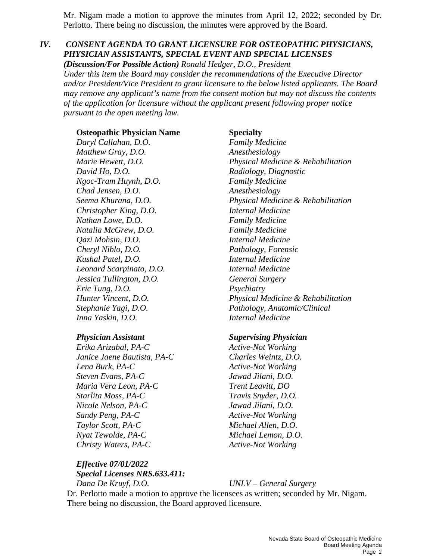Mr. Nigam made a motion to approve the minutes from April 12, 2022; seconded by Dr. Perlotto. There being no discussion, the minutes were approved by the Board.

# *IV. CONSENT AGENDA TO GRANT LICENSURE FOR OSTEOPATHIC PHYSICIANS, PHYSICIAN ASSISTANTS, SPECIAL EVENT AND SPECIAL LICENSES*

*(Discussion/For Possible Action) Ronald Hedger, D.O., President Under this item the Board may consider the recommendations of the Executive Director and/or President/Vice President to grant licensure to the below listed applicants. The Board may remove any applicant's name from the consent motion but may not discuss the contents of the application for licensure without the applicant present following proper notice pursuant to the open meeting law.*

#### **Osteopathic Physician Name Specialty**

*Daryl Callahan, D.O. Family Medicine Matthew Gray, D.O. Anesthesiology David Ho, D.O. Radiology, Diagnostic Ngoc-Tram Huynh, D.O. Family Medicine Chad Jensen, D.O. Anesthesiology Christopher King, D.O. Internal Medicine Nathan Lowe, D.O. Family Medicine Natalia McGrew, D.O. Family Medicine Qazi Mohsin, D.O. Internal Medicine Cheryl Niblo, D.O. Pathology, Forensic Kushal Patel, D.O. Internal Medicine Leonard Scarpinato, D.O. Internal Medicine Jessica Tullington, D.O. General Surgery Eric Tung, D.O. Psychiatry Inna Yaskin, D.O. Internal Medicine*

*Erika Arizabal, PA-C Active-Not Working Janice Jaene Bautista, PA-C Charles Weintz, D.O. Lena Burk, PA-C Active-Not Working Steven Evans, PA-C Jawad Jilani, D.O. Maria Vera Leon, PA-C Trent Leavitt, DO Starlita Moss, PA-C Travis Snyder, D.O. Nicole Nelson, PA-C Jawad Jilani, D.O. Sandy Peng, PA-C Active-Not Working Taylor Scott, PA-C Michael Allen, D.O. Nyat Tewolde, PA-C Michael Lemon, D.O. Christy Waters, PA-C Active-Not Working* 

*Marie Hewett, D.O. Physical Medicine & Rehabilitation Seema Khurana, D.O. Physical Medicine & Rehabilitation Hunter Vincent, D.O. Physical Medicine & Rehabilitation Stephanie Yagi, D.O. Pathology, Anatomic/Clinical*

### *Physician Assistant Supervising Physician*

#### *Effective 07/01/2022*

*Special Licenses NRS.633.411: Dana De Kruyf, D.O. UNLV – General Surgery*

Dr. Perlotto made a motion to approve the licensees as written; seconded by Mr. Nigam. There being no discussion, the Board approved licensure.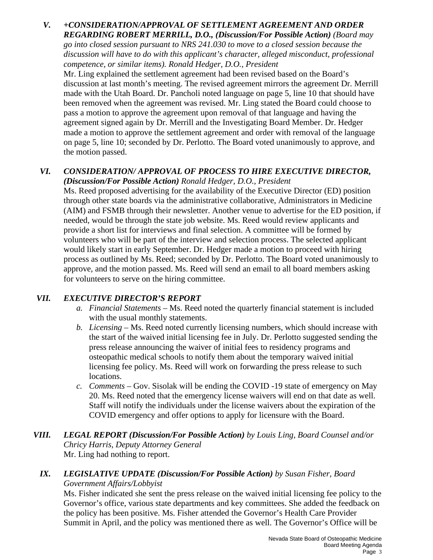# *V. +CONSIDERATION/APPROVAL OF SETTLEMENT AGREEMENT AND ORDER REGARDING ROBERT MERRILL, D.O., (Discussion/For Possible Action) (Board may go into closed session pursuant to NRS 241.030 to move to a closed session because the*

*discussion will have to do with this applicant's character, alleged misconduct, professional competence, or similar items). Ronald Hedger, D.O., President*

Mr. Ling explained the settlement agreement had been revised based on the Board's discussion at last month's meeting. The revised agreement mirrors the agreement Dr. Merrill made with the Utah Board. Dr. Pancholi noted language on page 5, line 10 that should have been removed when the agreement was revised. Mr. Ling stated the Board could choose to pass a motion to approve the agreement upon removal of that language and having the agreement signed again by Dr. Merrill and the Investigating Board Member. Dr. Hedger made a motion to approve the settlement agreement and order with removal of the language on page 5, line 10; seconded by Dr. Perlotto. The Board voted unanimously to approve, and the motion passed.

### *VI. CONSIDERATION/ APPROVAL OF PROCESS TO HIRE EXECUTIVE DIRECTOR, (Discussion/For Possible Action) Ronald Hedger, D.O., President*

Ms. Reed proposed advertising for the availability of the Executive Director (ED) position through other state boards via the administrative collaborative, Administrators in Medicine (AIM) and FSMB through their newsletter. Another venue to advertise for the ED position, if needed, would be through the state job website. Ms. Reed would review applicants and provide a short list for interviews and final selection. A committee will be formed by volunteers who will be part of the interview and selection process. The selected applicant would likely start in early September. Dr. Hedger made a motion to proceed with hiring process as outlined by Ms. Reed; seconded by Dr. Perlotto. The Board voted unanimously to approve, and the motion passed. Ms. Reed will send an email to all board members asking for volunteers to serve on the hiring committee.

## *VII. EXECUTIVE DIRECTOR'S REPORT*

- *a. Financial Statements* Ms. Reed noted the quarterly financial statement is included with the usual monthly statements.
- *b. Licensing* Ms. Reed noted currently licensing numbers, which should increase with the start of the waived initial licensing fee in July. Dr. Perlotto suggested sending the press release announcing the waiver of initial fees to residency programs and osteopathic medical schools to notify them about the temporary waived initial licensing fee policy. Ms. Reed will work on forwarding the press release to such locations.
- *c. Comments*  Gov. Sisolak will be ending the COVID -19 state of emergency on May 20. Ms. Reed noted that the emergency license waivers will end on that date as well. Staff will notify the individuals under the license waivers about the expiration of the COVID emergency and offer options to apply for licensure with the Board.
- *VIII. LEGAL REPORT (Discussion/For Possible Action) by Louis Ling, Board Counsel and/or Chricy Harris, Deputy Attorney General* Mr. Ling had nothing to report.

## *IX. LEGISLATIVE UPDATE (Discussion/For Possible Action) by Susan Fisher, Board Government Affairs/Lobbyist*

Ms. Fisher indicated she sent the press release on the waived initial licensing fee policy to the Governor's office, various state departments and key committees. She added the feedback on the policy has been positive. Ms. Fisher attended the Governor's Health Care Provider Summit in April, and the policy was mentioned there as well. The Governor's Office will be